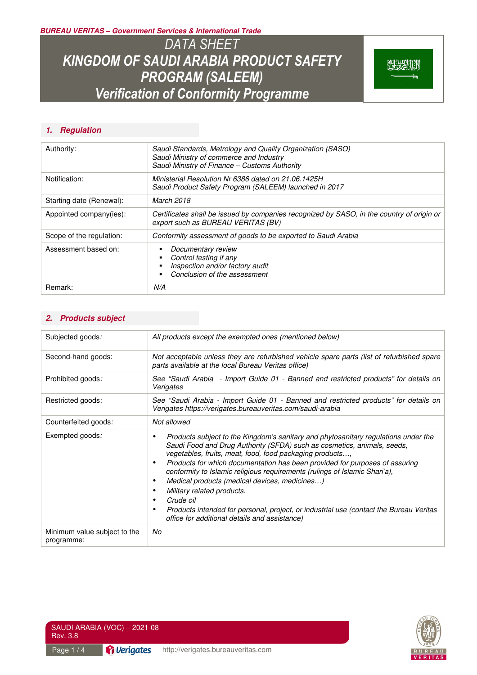**BUREAU VERITAS – Government Services & International Trade** 

*DATA SHEET KINGDOM OF SAUDI ARABIA PRODUCT SAFETY PROGRAM (SALEEM) Verification of Conformity Programme* 



#### **1. Regulation**

| Authority:               | Saudi Standards, Metrology and Quality Organization (SASO)<br>Saudi Ministry of commerce and Industry<br>Saudi Ministry of Finance - Customs Authority |  |
|--------------------------|--------------------------------------------------------------------------------------------------------------------------------------------------------|--|
| Notification:            | Ministerial Resolution Nr 6386 dated on 21.06.1425H<br>Saudi Product Safety Program (SALEEM) launched in 2017                                          |  |
| Starting date (Renewal): | March 2018                                                                                                                                             |  |
| Appointed company(ies):  | Certificates shall be issued by companies recognized by SASO, in the country of origin or<br>export such as BUREAU VERITAS (BV)                        |  |
| Scope of the regulation: | Conformity assessment of goods to be exported to Saudi Arabia                                                                                          |  |
| Assessment based on:     | Documentary review<br>Control testing if any<br>Inspection and/or factory audit<br>Conclusion of the assessment                                        |  |
| Remark:                  | N/A                                                                                                                                                    |  |

#### **2. Products subject**

| Subjected goods:                           | All products except the exempted ones (mentioned below)                                                                                                                                                                                                                                                                                                                                                                                                                                                                                                                                                                       |  |
|--------------------------------------------|-------------------------------------------------------------------------------------------------------------------------------------------------------------------------------------------------------------------------------------------------------------------------------------------------------------------------------------------------------------------------------------------------------------------------------------------------------------------------------------------------------------------------------------------------------------------------------------------------------------------------------|--|
| Second-hand goods:                         | Not acceptable unless they are refurbished vehicle spare parts (list of refurbished spare<br>parts available at the local Bureau Veritas office)                                                                                                                                                                                                                                                                                                                                                                                                                                                                              |  |
| Prohibited goods:                          | See "Saudi Arabia - Import Guide 01 - Banned and restricted products" for details on<br>Verigates                                                                                                                                                                                                                                                                                                                                                                                                                                                                                                                             |  |
| Restricted goods:                          | See "Saudi Arabia - Import Guide 01 - Banned and restricted products" for details on<br>Verigates https://verigates.bureauveritas.com/saudi-arabia                                                                                                                                                                                                                                                                                                                                                                                                                                                                            |  |
| Counterfeited goods:                       | Not allowed                                                                                                                                                                                                                                                                                                                                                                                                                                                                                                                                                                                                                   |  |
| Exempted goods:                            | Products subject to the Kingdom's sanitary and phytosanitary regulations under the<br>Saudi Food and Drug Authority (SFDA) such as cosmetics, animals, seeds,<br>vegetables, fruits, meat, food, food packaging products,<br>Products for which documentation has been provided for purposes of assuring<br>conformity to Islamic religious requirements (rulings of Islamic Shari'a),<br>Medical products (medical devices, medicines)<br>Military related products.<br>Crude oil<br>Products intended for personal, project, or industrial use (contact the Bureau Veritas<br>office for additional details and assistance) |  |
| Minimum value subject to the<br>programme: | No                                                                                                                                                                                                                                                                                                                                                                                                                                                                                                                                                                                                                            |  |

SAUDI ARABIA (VOC) – 2021-08 Rev. 3.8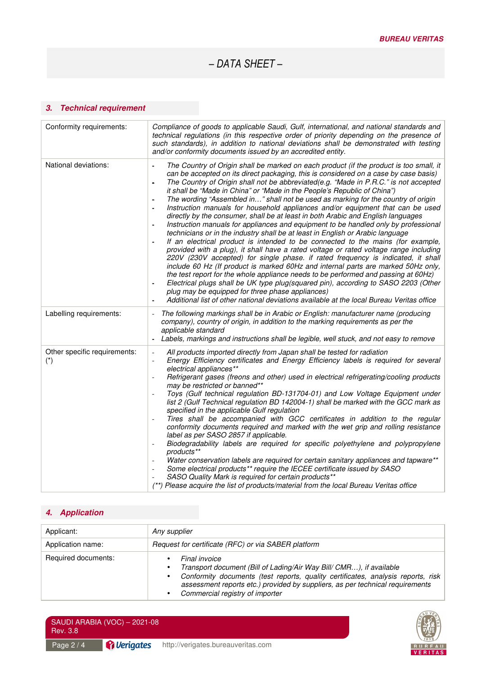*– DATA SHEET –* 

## **3. Technical requirement**

| Conformity requirements:              | Compliance of goods to applicable Saudi, Gulf, international, and national standards and<br>technical regulations (in this respective order of priority depending on the presence of<br>such standards), in addition to national deviations shall be demonstrated with testing<br>and/or conformity documents issued by an accredited entity.                                                                                                                                                                                                                                                                                                                                                                                                                                                                                                                                                                                                                                                                                                                                                                                                                                                                                                                                                                                                                                                                                                                                            |
|---------------------------------------|------------------------------------------------------------------------------------------------------------------------------------------------------------------------------------------------------------------------------------------------------------------------------------------------------------------------------------------------------------------------------------------------------------------------------------------------------------------------------------------------------------------------------------------------------------------------------------------------------------------------------------------------------------------------------------------------------------------------------------------------------------------------------------------------------------------------------------------------------------------------------------------------------------------------------------------------------------------------------------------------------------------------------------------------------------------------------------------------------------------------------------------------------------------------------------------------------------------------------------------------------------------------------------------------------------------------------------------------------------------------------------------------------------------------------------------------------------------------------------------|
| National deviations:                  | The Country of Origin shall be marked on each product (if the product is too small, it<br>$\mathbf{r}$<br>can be accepted on its direct packaging, this is considered on a case by case basis)<br>The Country of Origin shall not be abbreviated(e.g. "Made in P.R.C." is not accepted<br>it shall be "Made in China" or "Made in the People's Republic of China")<br>The wording "Assembled in" shall not be used as marking for the country of origin<br>Instruction manuals for household appliances and/or equipment that can be used<br>directly by the consumer, shall be at least in both Arabic and English languages<br>Instruction manuals for appliances and equipment to be handled only by professional<br>technicians or in the industry shall be at least in English or Arabic language<br>If an electrical product is intended to be connected to the mains (for example,<br>provided with a plug), it shall have a rated voltage or rated voltage range including<br>220V (230V accepted) for single phase. if rated frequency is indicated, it shall<br>include 60 Hz (If product is marked 60Hz and internal parts are marked 50Hz only,<br>the test report for the whole appliance needs to be performed and passing at 60Hz)<br>Electrical plugs shall be UK type plug(squared pin), according to SASO 2203 (Other<br>plug may be equipped for three phase appliances)<br>Additional list of other national deviations available at the local Bureau Veritas office |
| Labelling requirements:               | The following markings shall be in Arabic or English: manufacturer name (producing<br>company), country of origin, in addition to the marking requirements as per the<br>applicable standard<br>Labels, markings and instructions shall be legible, well stuck, and not easy to remove                                                                                                                                                                                                                                                                                                                                                                                                                                                                                                                                                                                                                                                                                                                                                                                                                                                                                                                                                                                                                                                                                                                                                                                                   |
| Other specific requirements:<br>$(*)$ | All products imported directly from Japan shall be tested for radiation<br>$\overline{\phantom{a}}$<br>Energy Efficiency certificates and Energy Efficiency labels is required for several<br>electrical appliances**<br>Refrigerant gases (freons and other) used in electrical refrigerating/cooling products<br>may be restricted or banned**<br>Toys (Gulf technical regulation BD-131704-01) and Low Voltage Equipment under<br>list 2 (Gulf Technical regulation BD 142004-1) shall be marked with the GCC mark as<br>specified in the applicable Gulf regulation<br>Tires shall be accompanied with GCC certificates in addition to the regular<br>$\blacksquare$<br>conformity documents required and marked with the wet grip and rolling resistance<br>label as per SASO 2857 if applicable.<br>Biodegradability labels are required for specific polyethylene and polypropylene<br>products**<br>Water conservation labels are required for certain sanitary appliances and tapware**<br>Some electrical products** require the IECEE certificate issued by SASO<br>SASO Quality Mark is required for certain products**<br>**) Please acquire the list of products/material from the local Bureau Veritas office                                                                                                                                                                                                                                                             |

## **4. Application**

| Applicant:          | Any supplier                                                                                                                                                                                                                                                                                 |  |
|---------------------|----------------------------------------------------------------------------------------------------------------------------------------------------------------------------------------------------------------------------------------------------------------------------------------------|--|
| Application name:   | Request for certificate (RFC) or via SABER platform                                                                                                                                                                                                                                          |  |
| Required documents: | Final invoice<br>Transport document (Bill of Lading/Air Way Bill/ CMR), if available<br>Conformity documents (test reports, quality certificates, analysis reports, risk<br>assessment reports etc.) provided by suppliers, as per technical requirements<br>Commercial registry of importer |  |

| Rev. 3.8   | SAUDI ARABIA (VOC) $-2021-08$    |                                    |
|------------|----------------------------------|------------------------------------|
| Page $2/4$ | <i><u><b>P</b></u></i> Verigates | http://verigates.bureauveritas.com |

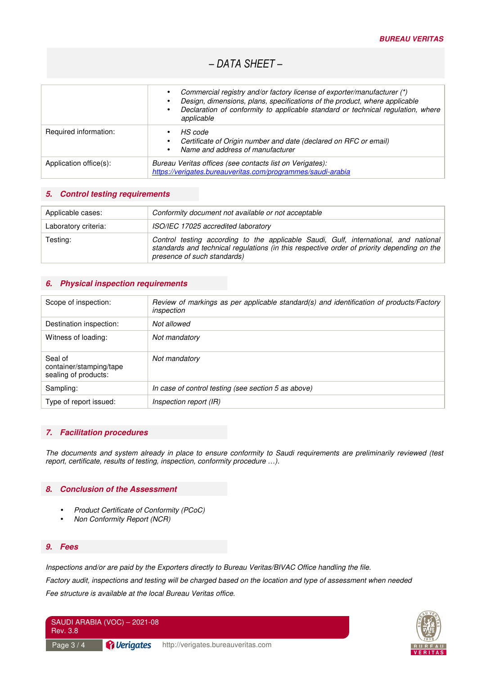# *– DATA SHEET –*

|                        | Commercial registry and/or factory license of exporter/manufacturer (*)<br>Design, dimensions, plans, specifications of the product, where applicable<br>Declaration of conformity to applicable standard or technical regulation, where<br>$\bullet$<br>applicable |  |
|------------------------|---------------------------------------------------------------------------------------------------------------------------------------------------------------------------------------------------------------------------------------------------------------------|--|
| Required information:  | HS code<br>Certificate of Origin number and date (declared on RFC or email)<br>$\bullet$<br>Name and address of manufacturer<br>$\bullet$                                                                                                                           |  |
| Application office(s): | Bureau Veritas offices (see contacts list on Verigates):<br>https://verigates.bureauveritas.com/programmes/saudi-arabia                                                                                                                                             |  |

#### **5. Control testing requirements**

| Applicable cases:    | Conformity document not available or not acceptable                                                                                                                                                               |  |
|----------------------|-------------------------------------------------------------------------------------------------------------------------------------------------------------------------------------------------------------------|--|
| Laboratory criteria: | ISO/IEC 17025 accredited laboratory                                                                                                                                                                               |  |
| Testing:             | Control testing according to the applicable Saudi, Gulf, international, and national<br>standards and technical regulations (in this respective order of priority depending on the<br>presence of such standards) |  |

#### **6. Physical inspection requirements**

| Review of markings as per applicable standard(s) and identification of products/Factory<br>inspection |
|-------------------------------------------------------------------------------------------------------|
| Not allowed                                                                                           |
| Not mandatory                                                                                         |
| Not mandatory                                                                                         |
| In case of control testing (see section 5 as above)                                                   |
| Inspection report (IR)                                                                                |
|                                                                                                       |

#### **7. Facilitation procedures**

*The documents and system already in place to ensure conformity to Saudi requirements are preliminarily reviewed (test report, certificate, results of testing, inspection, conformity procedure …).* 

#### **8. Conclusion of the Assessment**

- *Product Certificate of Conformity (PCoC)*
- *Non Conformity Report (NCR)*

#### **9. Fees**

*Inspections and/or are paid by the Exporters directly to Bureau Veritas/BIVAC Office handling the file. Factory audit, inspections and testing will be charged based on the location and type of assessment when needed Fee structure is available at the local Bureau Veritas office.* 



| SAUDI ARABIA (VOC) - 2021-08<br>Rev. 3.8 |                                 |                                    |
|------------------------------------------|---------------------------------|------------------------------------|
| Page $3/4$                               | <i><u><b>A</b>Uerigates</u></i> | http://verigates.bureauveritas.com |